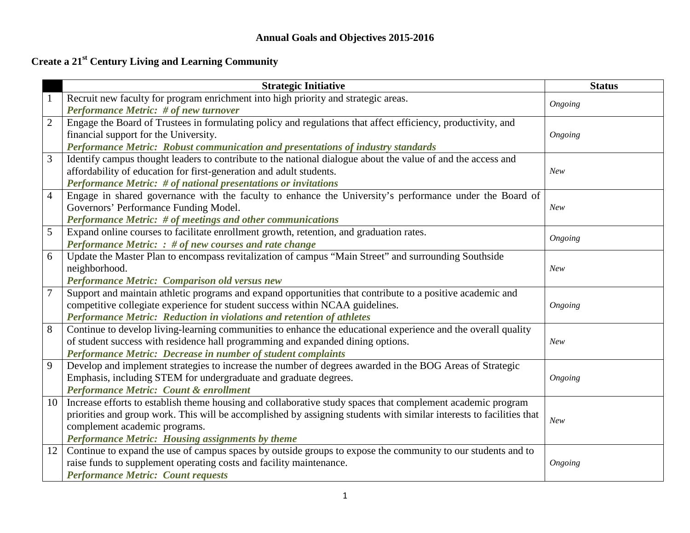## **Annual Goals and Objectives 2015-2016**

# **Create a 21st Century Living and Learning Community**

|                | <b>Strategic Initiative</b>                                                                                          | <b>Status</b> |
|----------------|----------------------------------------------------------------------------------------------------------------------|---------------|
| $\mathbf{1}$   | Recruit new faculty for program enrichment into high priority and strategic areas.                                   | Ongoing       |
|                | <b>Performance Metric: # of new turnover</b>                                                                         |               |
| $\mathbf{2}$   | Engage the Board of Trustees in formulating policy and regulations that affect efficiency, productivity, and         |               |
|                | financial support for the University.                                                                                | Ongoing       |
|                | Performance Metric: Robust communication and presentations of industry standards                                     |               |
| 3              | Identify campus thought leaders to contribute to the national dialogue about the value of and the access and         |               |
|                | affordability of education for first-generation and adult students.                                                  | New           |
|                | <b>Performance Metric: # of national presentations or invitations</b>                                                |               |
| $\overline{4}$ | Engage in shared governance with the faculty to enhance the University's performance under the Board of              |               |
|                | Governors' Performance Funding Model.                                                                                | New           |
|                | Performance Metric: # of meetings and other communications                                                           |               |
| 5              | Expand online courses to facilitate enrollment growth, retention, and graduation rates.                              | Ongoing       |
|                | Performance Metric: : # of new courses and rate change                                                               |               |
| 6              | Update the Master Plan to encompass revitalization of campus "Main Street" and surrounding Southside                 |               |
|                | neighborhood.                                                                                                        | <b>New</b>    |
|                | Performance Metric: Comparison old versus new                                                                        |               |
| $\overline{7}$ | Support and maintain athletic programs and expand opportunities that contribute to a positive academic and           |               |
|                | competitive collegiate experience for student success within NCAA guidelines.                                        | Ongoing       |
|                | Performance Metric: Reduction in violations and retention of athletes                                                |               |
| 8              | Continue to develop living-learning communities to enhance the educational experience and the overall quality        |               |
|                | of student success with residence hall programming and expanded dining options.                                      | <b>New</b>    |
|                | Performance Metric: Decrease in number of student complaints                                                         |               |
| 9              | Develop and implement strategies to increase the number of degrees awarded in the BOG Areas of Strategic             |               |
|                | Emphasis, including STEM for undergraduate and graduate degrees.                                                     | Ongoing       |
|                | <b>Performance Metric: Count &amp; enrollment</b>                                                                    |               |
| 10             | Increase efforts to establish theme housing and collaborative study spaces that complement academic program          |               |
|                | priorities and group work. This will be accomplished by assigning students with similar interests to facilities that | New           |
|                | complement academic programs.                                                                                        |               |
|                | Performance Metric: Housing assignments by theme                                                                     |               |
| 12             | Continue to expand the use of campus spaces by outside groups to expose the community to our students and to         |               |
|                | raise funds to supplement operating costs and facility maintenance.                                                  | Ongoing       |
|                | <b>Performance Metric: Count requests</b>                                                                            |               |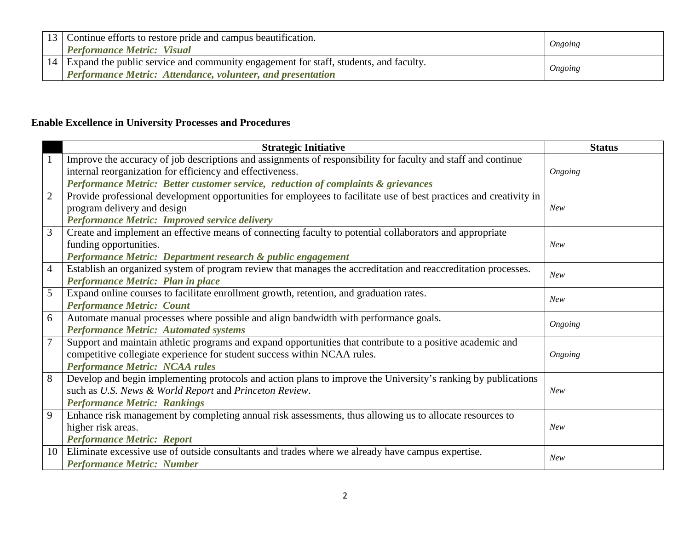| $13$ Continue efforts to restore pride and campus beautification.<br><b>Performance Metric: Visual</b>                                                        | Ongoing |
|---------------------------------------------------------------------------------------------------------------------------------------------------------------|---------|
| 14 Expand the public service and community engagement for staff, students, and faculty.<br><b>Performance Metric: Attendance, volunteer, and presentation</b> | Ongoing |

### **Enable Excellence in University Processes and Procedures**

|                | <b>Strategic Initiative</b>                                                                                        | <b>Status</b> |
|----------------|--------------------------------------------------------------------------------------------------------------------|---------------|
|                | Improve the accuracy of job descriptions and assignments of responsibility for faculty and staff and continue      |               |
|                | internal reorganization for efficiency and effectiveness.                                                          | Ongoing       |
|                | Performance Metric: Better customer service, reduction of complaints & grievances                                  |               |
| $\overline{2}$ | Provide professional development opportunities for employees to facilitate use of best practices and creativity in |               |
|                | program delivery and design                                                                                        | <b>New</b>    |
|                | <b>Performance Metric: Improved service delivery</b>                                                               |               |
| 3              | Create and implement an effective means of connecting faculty to potential collaborators and appropriate           |               |
|                | funding opportunities.                                                                                             | <b>New</b>    |
|                | Performance Metric: Department research & public engagement                                                        |               |
| $\overline{4}$ | Establish an organized system of program review that manages the accreditation and reaccreditation processes.      | New           |
|                | Performance Metric: Plan in place                                                                                  |               |
| 5              | Expand online courses to facilitate enrollment growth, retention, and graduation rates.                            | <b>New</b>    |
|                | <b>Performance Metric: Count</b>                                                                                   |               |
| 6              | Automate manual processes where possible and align bandwidth with performance goals.                               |               |
|                | <b>Performance Metric: Automated systems</b>                                                                       | Ongoing       |
|                | Support and maintain athletic programs and expand opportunities that contribute to a positive academic and         |               |
|                | competitive collegiate experience for student success within NCAA rules.                                           | Ongoing       |
|                | <b>Performance Metric: NCAA rules</b>                                                                              |               |
| 8              | Develop and begin implementing protocols and action plans to improve the University's ranking by publications      |               |
|                | such as U.S. News & World Report and Princeton Review.                                                             | <b>New</b>    |
|                | <b>Performance Metric: Rankings</b>                                                                                |               |
| 9              | Enhance risk management by completing annual risk assessments, thus allowing us to allocate resources to           |               |
|                | higher risk areas.                                                                                                 | <b>New</b>    |
|                | <b>Performance Metric: Report</b>                                                                                  |               |
| 10             | Eliminate excessive use of outside consultants and trades where we already have campus expertise.                  | New           |
|                | <b>Performance Metric: Number</b>                                                                                  |               |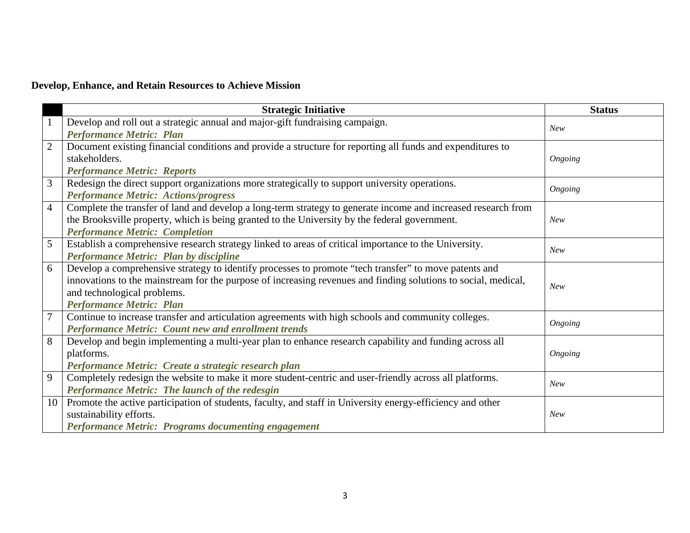### **Develop, Enhance, and Retain Resources to Achieve Mission**

|                | <b>Strategic Initiative</b>                                                                                    | <b>Status</b> |
|----------------|----------------------------------------------------------------------------------------------------------------|---------------|
| $\mathbf{1}$   | Develop and roll out a strategic annual and major-gift fundraising campaign.                                   | <b>New</b>    |
|                | <b>Performance Metric: Plan</b>                                                                                |               |
| $\overline{2}$ | Document existing financial conditions and provide a structure for reporting all funds and expenditures to     |               |
|                | stakeholders.                                                                                                  | Ongoing       |
|                | <b>Performance Metric: Reports</b>                                                                             |               |
| 3              | Redesign the direct support organizations more strategically to support university operations.                 | Ongoing       |
|                | <b>Performance Metric: Actions/progress</b>                                                                    |               |
| $\overline{4}$ | Complete the transfer of land and develop a long-term strategy to generate income and increased research from  |               |
|                | the Brooksville property, which is being granted to the University by the federal government.                  | New           |
|                | <b>Performance Metric: Completion</b>                                                                          |               |
| 5              | Establish a comprehensive research strategy linked to areas of critical importance to the University.          | <b>New</b>    |
|                | Performance Metric: Plan by discipline                                                                         |               |
| 6              | Develop a comprehensive strategy to identify processes to promote "tech transfer" to move patents and          |               |
|                | innovations to the mainstream for the purpose of increasing revenues and finding solutions to social, medical, | <b>New</b>    |
|                | and technological problems.                                                                                    |               |
|                | <b>Performance Metric: Plan</b>                                                                                |               |
| $\overline{7}$ | Continue to increase transfer and articulation agreements with high schools and community colleges.            | Ongoing       |
|                | <b>Performance Metric: Count new and enrollment trends</b>                                                     |               |
| 8              | Develop and begin implementing a multi-year plan to enhance research capability and funding across all         |               |
|                | platforms.                                                                                                     | Ongoing       |
|                | Performance Metric: Create a strategic research plan                                                           |               |
| 9              | Completely redesign the website to make it more student-centric and user-friendly across all platforms.        | <b>New</b>    |
|                | Performance Metric: The launch of the redesgin                                                                 |               |
| 10             | Promote the active participation of students, faculty, and staff in University energy-efficiency and other     |               |
|                | sustainability efforts.                                                                                        | New           |
|                | <b>Performance Metric: Programs documenting engagement</b>                                                     |               |